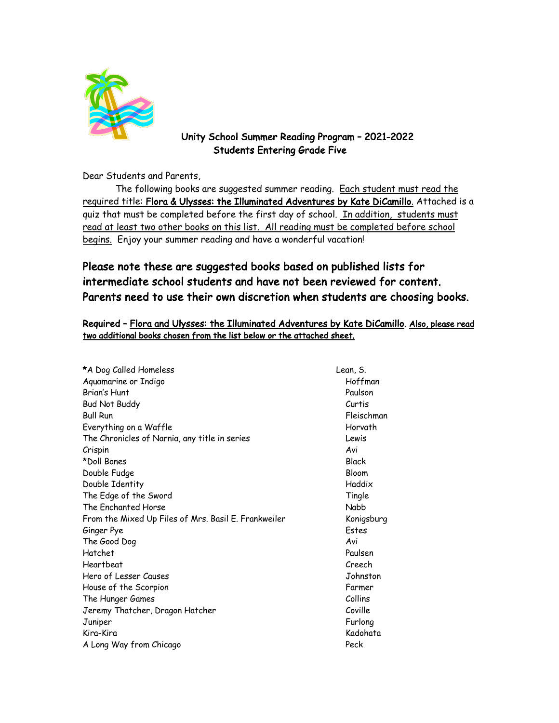

### Unity School Summer Reading Program – 2021-2022 Students Entering Grade Five

Dear Students and Parents,

The following books are suggested summer reading. Each student must read the required title: Flora & Ulysses: the Illuminated Adventures by Kate DiCamillo. Attached is a quiz that must be completed before the first day of school. In addition, students must read at least two other books on this list. All reading must be completed before school begins. Enjoy your summer reading and have a wonderful vacation!

## Please note these are suggested books based on published lists for intermediate school students and have not been reviewed for content. Parents need to use their own discretion when students are choosing books.

#### Required - Flora and Ulysses: the Illuminated Adventures by Kate DiCamillo. Also, please read two additional books chosen from the list below or the attached sheet.

| *A Dog Called Homeless                               | Lean, S.   |
|------------------------------------------------------|------------|
| Aquamarine or Indigo                                 | Hoffman    |
| Brian's Hunt                                         | Paulson    |
| <b>Bud Not Buddy</b>                                 | Curtis     |
| <b>Bull Run</b>                                      | Fleischman |
| Everything on a Waffle                               | Horvath    |
| The Chronicles of Narnia, any title in series        | Lewis      |
| Crispin                                              | Avi        |
| *Doll Bones                                          | Black      |
| Double Fudge                                         | Bloom      |
| Double Identity                                      | Haddix     |
| The Edge of the Sword                                | Tingle     |
| The Enchanted Horse                                  | Nabb       |
| From the Mixed Up Files of Mrs. Basil E. Frankweiler | Konigsburg |
| Ginger Pye                                           | Estes      |
| The Good Dog                                         | Avi        |
| Hatchet                                              | Paulsen    |
| Heartbeat                                            | Creech     |
| Hero of Lesser Causes                                | Johnston   |
| House of the Scorpion                                | Farmer     |
| The Hunger Games                                     | Collins    |
| Jeremy Thatcher, Dragon Hatcher                      | Coville    |
| Juniper                                              | Furlong    |
| Kira-Kira                                            | Kadohata   |
| A Long Way from Chicago                              | Peck       |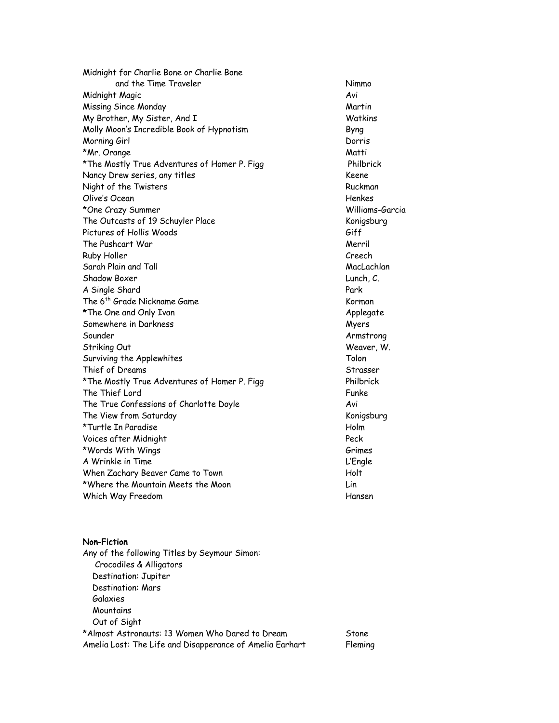Midnight for Charlie Bone or Charlie Bone and the Time Traveler Nimmo Midnight Magic Avi Missing Since Monday and the Martin Martin Martin My Brother, My Sister, And I Watkins Molly Moon's Incredible Book of Hypnotism Byng Morning Girl Dorris \*Mr. Orange Matti \*The Mostly True Adventures of Homer P. Figg Philbrick Nancy Drew series, any titles Keene Night of the Twisters and the Community of the Twisters Ruckman Olive's Ocean Henkes \*One Crazy Summer Williams-Garcia The Outcasts of 19 Schuyler Place Konigsburg Pictures of Hollis Woods Giff The Pushcart War Merril Ruby Holler Creech Sarah Plain and Tall MacLachlan Shadow Boxer Lunch, C. A Single Shard Park The 6<sup>th</sup> Grade Nickname Game Korman Korman \*The One and Only Ivan Applegate Applegate Somewhere in Darkness and the state of the Myers Myers Sounder Armstrong Striking Out **Weaver, W.** Weaver, W. Surviving the Applewhites Tolon Thief of Dreams Strasser \*The Mostly True Adventures of Homer P. Figg Philbrick The Thief Lord Funke The True Confessions of Charlotte Doyle Avi The View from Saturday and The View from Saturday and The View from Saturday \*Turtle In Paradise Holm Voices after Midnight Peck \*Words With Wings Grimes (1988) 2008 - 1986 6 Million Street (1988) 30 Million Street (1988) 30 Million Street (1988) 30 Million Street (1988) 30 Million Street (1988) 30 Million Street (1988) 30 Million Street (1988) 30 M A Wrinkle in Time **L'Engle** When Zachary Beaver Came to Town Molt \*Where the Mountain Meets the Moon Lin Which Way Freedom **Hansen** 

#### Non-Fiction

Any of the following Titles by Seymour Simon: Crocodiles & Alligators Destination: Jupiter Destination: Mars Galaxies **Mountains**  Out of Sight \*Almost Astronauts: 13 Women Who Dared to Dream Stone Amelia Lost: The Life and Disapperance of Amelia Earhart Fleming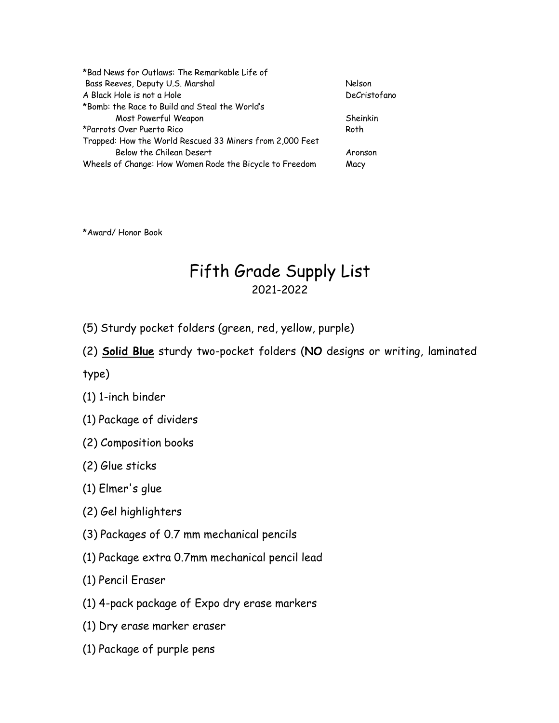| *Bad News for Outlaws: The Remarkable Life of            |              |
|----------------------------------------------------------|--------------|
| Bass Reeves, Deputy U.S. Marshal                         | Nelson       |
| A Black Hole is not a Hole                               | DeCristofano |
| *Bomb: the Race to Build and Steal the World's           |              |
| Most Powerful Weapon                                     | Sheinkin     |
| *Parrots Over Puerto Rico                                | Roth         |
| Trapped: How the World Rescued 33 Miners from 2,000 Feet |              |
| Below the Chilean Desert                                 | Aronson      |
| Wheels of Change: How Women Rode the Bicycle to Freedom  | Macy         |

\*Award/ Honor Book

# Fifth Grade Supply List 2021-2022

- (5) Sturdy pocket folders (green, red, yellow, purple)
- (2) Solid Blue sturdy two-pocket folders (NO designs or writing, laminated

type)

- (1) 1-inch binder
- (1) Package of dividers
- (2) Composition books
- (2) Glue sticks
- (1) Elmer's glue
- (2) Gel highlighters
- (3) Packages of 0.7 mm mechanical pencils
- (1) Package extra 0.7mm mechanical pencil lead
- (1) Pencil Eraser
- (1) 4-pack package of Expo dry erase markers
- (1) Dry erase marker eraser
- (1) Package of purple pens